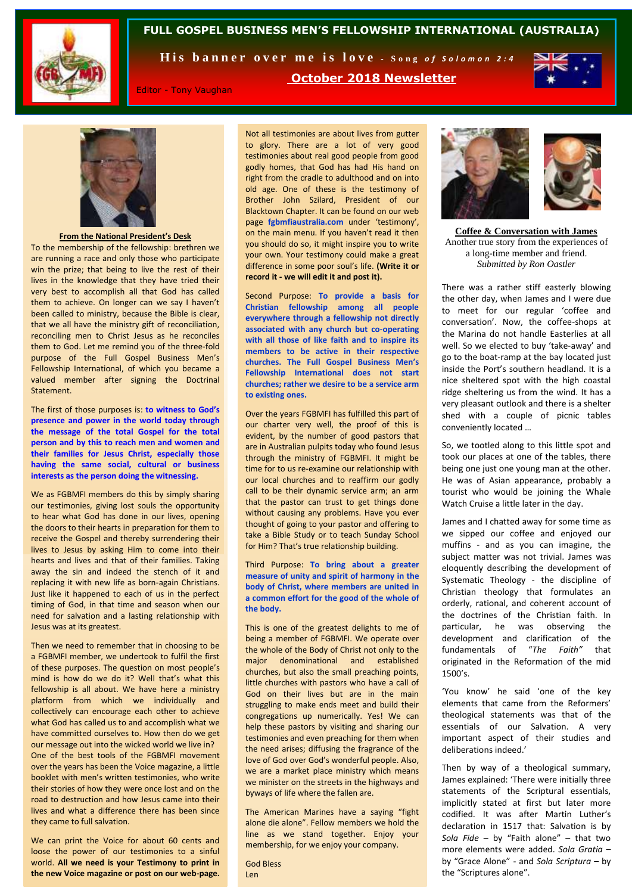

#### **FULL GOSPEL BUSINESS MEN'S FELLOWSHIP INTERNATIONAL (AUSTRALIA)**

His banner over me is love - Song of Solomon 2:4



Editor - Tony Vaughan

**October 2018 Newsletter**

Not all testimonies are about lives from gutter to glory. There are a lot of very good testimonies about real good people from good godly homes, that God has had His hand on right from the cradle to adulthood and on into old age. One of these is the testimony of Brother John Szilard, President of our Blacktown Chapter. It can be found on our web page **fgbmfiaustralia.com** under 'testimony', on the main menu. If you haven't read it then you should do so, it might inspire you to write your own. Your testimony could make a great difference in some poor soul's life. **(Write it or record it - we will edit it and post it).** 

Second Purpose: **To provide a basis for Christian fellowship among all people everywhere through a fellowship not directly associated with any church but co-operating with all those of like faith and to inspire its members to be active in their respective churches. The Full Gospel Business Men's Fellowship International does not start churches; rather we desire to be a service arm to existing ones.**

Over the years FGBMFI has fulfilled this part of our charter very well, the proof of this is evident, by the number of good pastors that are in Australian pulpits today who found Jesus through the ministry of FGBMFI. It might be time for to us re-examine our relationship with our local churches and to reaffirm our godly call to be their dynamic service arm; an arm that the pastor can trust to get things done without causing any problems. Have you ever thought of going to your pastor and offering to take a Bible Study or to teach Sunday School for Him? That's true relationship building.

Third Purpose: **To bring about a greater measure of unity and spirit of harmony in the body of Christ, where members are united in a common effort for the good of the whole of the body.**

This is one of the greatest delights to me of being a member of FGBMFI. We operate over the whole of the Body of Christ not only to the major denominational and established churches, but also the small preaching points, little churches with pastors who have a call of God on their lives but are in the main struggling to make ends meet and build their congregations up numerically. Yes! We can help these pastors by visiting and sharing our testimonies and even preaching for them when the need arises; diffusing the fragrance of the love of God over God's wonderful people. Also, we are a market place ministry which means we minister on the streets in the highways and byways of life where the fallen are.

The American Marines have a saying "fight alone die alone". Fellow members we hold the line as we stand together. Enjoy your membership, for we enjoy your company.

God Bless Len



**Coffee & Conversation with James** Another true story from the experiences of a long-time member and friend. *Submitted by Ron Oastler*

There was a rather stiff easterly blowing the other day, when James and I were due to meet for our regular 'coffee and conversation'. Now, the coffee-shops at the Marina do not handle Easterlies at all well. So we elected to buy 'take-away' and go to the boat-ramp at the bay located just inside the Port's southern headland. It is a nice sheltered spot with the high coastal ridge sheltering us from the wind. It has a very pleasant outlook and there is a shelter shed with a couple of picnic tables conveniently located …

So, we tootled along to this little spot and took our places at one of the tables, there being one just one young man at the other. He was of Asian appearance, probably a tourist who would be joining the Whale Watch Cruise a little later in the day.

James and I chatted away for some time as we sipped our coffee and enjoyed our muffins - and as you can imagine, the subject matter was not trivial. James was eloquently describing the development of Systematic Theology - the discipline of Christian theology that formulates an orderly, rational, and coherent account of the doctrines of the Christian faith. In particular, he was observing the development and clarification of the fundamentals of "*The Faith"* that originated in the Reformation of the mid 1500's.

'You know' he said 'one of the key elements that came from the Reformers' theological statements was that of the essentials of our Salvation. A very important aspect of their studies and deliberations indeed.'

Then by way of a theological summary, James explained: 'There were initially three statements of the Scriptural essentials, implicitly stated at first but later more codified. It was after Martin Luther's declaration in 1517 that: Salvation is by *Sola Fide* – by "Faith alone" – that two more elements were added. *Sola Gratia* – by "Grace Alone" - and *Sola Scriptura* – by the "Scriptures alone".



**From the National President's Desk**

To the membership of the fellowship: brethren we are running a race and only those who participate win the prize; that being to live the rest of their lives in the knowledge that they have tried their very best to accomplish all that God has called them to achieve. On longer can we say I haven't been called to ministry, because the Bible is clear, that we all have the ministry gift of reconciliation, reconciling men to Christ Jesus as he reconciles them to God. Let me remind you of the three-fold purpose of the Full Gospel Business Men's Fellowship International, of which you became a valued member after signing the Doctrinal Statement.

The first of those purposes is: **to witness to God's presence and power in the world today through the message of the total Gospel for the total person and by this to reach men and women and their families for Jesus Christ, especially those having the same social, cultural or business interests as the person doing the witnessing.**

We as FGBMFI members do this by simply sharing our testimonies, giving lost souls the opportunity to hear what God has done in our lives, opening the doors to their hearts in preparation for them to receive the Gospel and thereby surrendering their lives to Jesus by asking Him to come into their hearts and lives and that of their families. Taking away the sin and indeed the stench of it and replacing it with new life as born-again Christians. Just like it happened to each of us in the perfect timing of God, in that time and season when our need for salvation and a lasting relationship with Jesus was at its greatest.

Then we need to remember that in choosing to be a FGBMFI member, we undertook to fulfil the first of these purposes. The question on most people's mind is how do we do it? Well that's what this fellowship is all about. We have here a ministry platform from which we individually and collectively can encourage each other to achieve what God has called us to and accomplish what we have committed ourselves to. How then do we get our message out into the wicked world we live in? One of the best tools of the FGBMFI movement over the years has been the Voice magazine, a little booklet with men's written testimonies, who write their stories of how they were once lost and on the road to destruction and how Jesus came into their lives and what a difference there has been since they came to full salvation.

We can print the Voice for about 60 cents and loose the power of our testimonies to a sinful world. **All we need is your Testimony to print in the new Voice magazine or post on our web-page.**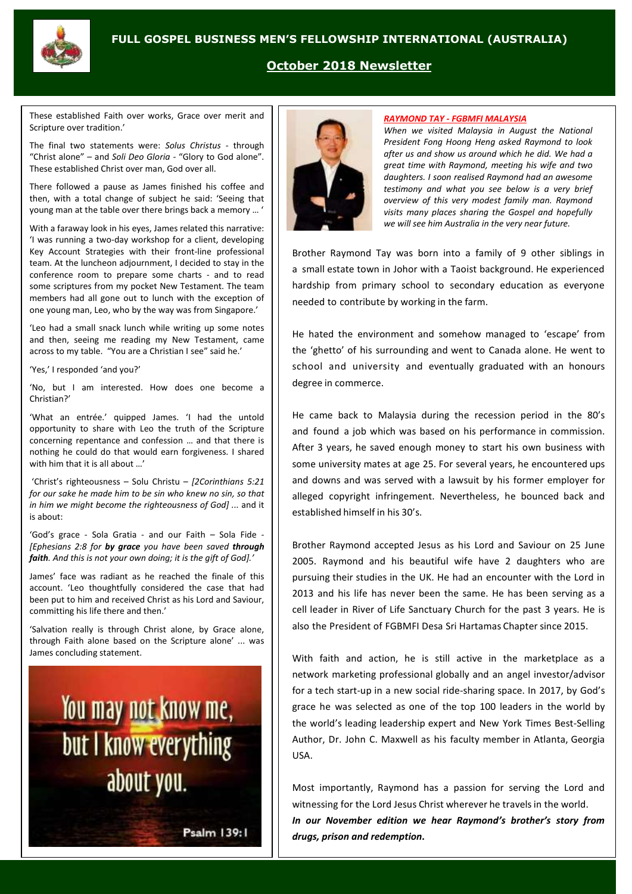

#### **October 2018 Newsletter**

These established Faith over works, Grace over merit and Scripture over tradition.'

The final two statements were: *Solus Christus* - through "Christ alone" – and *Soli Deo Gloria* - "Glory to God alone". These established Christ over man, God over all.

There followed a pause as James finished his coffee and then, with a total change of subject he said: 'Seeing that young man at the table over there brings back a memory … '

With a faraway look in his eyes, James related this narrative: 'I was running a two-day workshop for a client, developing Key Account Strategies with their front-line professional team. At the luncheon adjournment, I decided to stay in the conference room to prepare some charts - and to read some scriptures from my pocket New Testament. The team members had all gone out to lunch with the exception of one young man, Leo, who by the way was from Singapore.'

'Leo had a small snack lunch while writing up some notes and then, seeing me reading my New Testament, came across to my table. "You are a Christian I see" said he.'

'Yes,' I responded 'and you?'

'No, but I am interested. How does one become a Christian?'

'What an entrée.' quipped James. 'I had the untold opportunity to share with Leo the truth of the Scripture concerning repentance and confession … and that there is nothing he could do that would earn forgiveness. I shared with him that it is all about …'

'Christ's righteousness – Solu Christu – *[2Corinthians 5:21 for our sake he made him to be sin who knew no sin, so that in him we might become the righteousness of God] ...* and it is about:

'God's grace - Sola Gratia - and our Faith – Sola Fide - *[Ephesians 2:8 for by grace you have been saved through faith. And this is not your own doing; it is the gift of God].'*

James' face was radiant as he reached the finale of this account. 'Leo thoughtfully considered the case that had been put to him and received Christ as his Lord and Saviour, committing his life there and then.'

'Salvation really is through Christ alone, by Grace alone, through Faith alone based on the Scripture alone' ... was James concluding statement.

# You may not know me, but I know everything about you.

Psalm 139:1

#### *RAYMOND TAY - FGBMFI MALAYSIA*

*When we visited Malaysia in August the National President Fong Hoong Heng asked Raymond to look after us and show us around which he did. We had a great time with Raymond, meeting his wife and two daughters. I soon realised Raymond had an awesome testimony and what you see below is a very brief overview of this very modest family man. Raymond visits many places sharing the Gospel and hopefully we will see him Australia in the very near future.*

Brother Raymond Tay was born into a family of 9 other siblings in a small estate town in Johor with a Taoist background. He experienced hardship from primary school to secondary education as everyone needed to contribute by working in the farm.

He hated the environment and somehow managed to 'escape' from the 'ghetto' of his surrounding and went to Canada alone. He went to school and university and eventually graduated with an honours degree in commerce.

He came back to Malaysia during the recession period in the 80's and found a job which was based on his performance in commission. After 3 years, he saved enough money to start his own business with some university mates at age 25. For several years, he encountered ups and downs and was served with a lawsuit by his former employer for alleged copyright infringement. Nevertheless, he bounced back and established himself in his 30's.

Brother Raymond accepted Jesus as his Lord and Saviour on 25 June 2005. Raymond and his beautiful wife have 2 daughters who are pursuing their studies in the UK. He had an encounter with the Lord in 2013 and his life has never been the same. He has been serving as a cell leader in River of Life Sanctuary Church for the past 3 years. He is also the President of FGBMFI Desa Sri Hartamas Chapter since 2015.

With faith and action, he is still active in the marketplace as a network marketing professional globally and an angel investor/advisor for a tech start-up in a new social ride-sharing space. In 2017, by God's grace he was selected as one of the top 100 leaders in the world by the world's leading leadership expert and New York Times Best-Selling Author, Dr. John C. Maxwell as his faculty member in Atlanta, Georgia USA.

Most importantly, Raymond has a passion for serving the Lord and witnessing for the Lord Jesus Christ wherever he travels in the world. *In our November edition we hear Raymond's brother's story from drugs, prison and redemption.*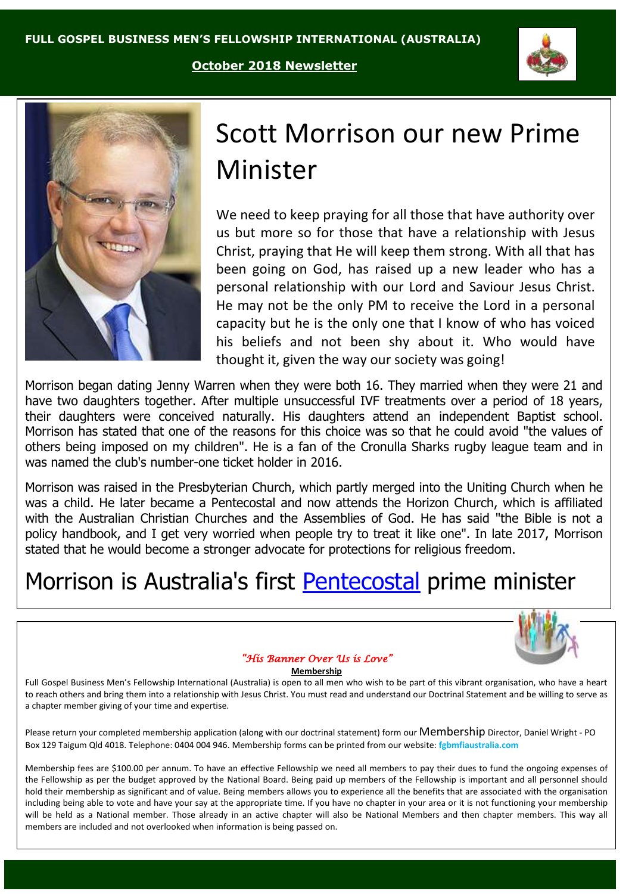**October 2018 Newsletter**





## Scott Morrison our new Prime Minister

We need to keep praying for all those that have authority over us but more so for those that have a relationship with Jesus Christ, praying that He will keep them strong. With all that has been going on God, has raised up a new leader who has a personal relationship with our Lord and Saviour Jesus Christ. He may not be the only PM to receive the Lord in a personal capacity but he is the only one that I know of who has voiced his beliefs and not been shy about it. Who would have thought it, given the way our society was going!

Morrison began dating [Jenny Warren](https://en.wikipedia.org/wiki/Jenny_Morrison) when they were both 16. They married when they were 21 and have two daughters together. After multiple unsuccessful [IVF](https://en.wikipedia.org/wiki/IVF) treatments over a period of 18 years, their daughters were conceived naturally. His daughters attend an [independent](https://en.wikipedia.org/wiki/Independent_school#Australia) [Baptist](https://en.wikipedia.org/wiki/Baptist) school. Morrison has stated that one of the reasons for this choice was so that he could avoid "the values of others being imposed on my children". He is a fan of the [Cronulla Sharks](https://en.wikipedia.org/wiki/Cronulla_Sharks) rugby league team and in was named the club's [number-one ticket holder](https://en.wikipedia.org/wiki/Number-one_ticket_holder) in 2016.

Morrison was raised in the [Presbyterian Church,](https://en.wikipedia.org/wiki/Presbyterian_Church_of_Australia) which partly merged into the [Uniting Church](https://en.wikipedia.org/wiki/Uniting_Church_in_Australia) when he was a child. He later became a [Pentecostal](https://en.wikipedia.org/wiki/Pentecostalism) and now attends the [Horizon Church,](https://en.wikipedia.org/wiki/Horizon_Church) which is affiliated with the [Australian Christian Churches](https://en.wikipedia.org/wiki/Australian_Christian_Churches) and the [Assemblies of God.](https://en.wikipedia.org/wiki/Assemblies_of_God) He has said "the Bible is not a policy handbook, and I get very worried when people try to treat it like one". In late 2017, Morrison stated that he would become a stronger advocate for protections for religious freedom.

### Morrison is Australia's first [Pentecostal](https://en.wikipedia.org/wiki/Pentecostalism_in_Australia) prime minister



#### *"His Banner Over Us is Love"*

#### **Membership**

Full Gospel Business Men's Fellowship International (Australia) is open to all men who wish to be part of this vibrant organisation, who have a heart to reach others and bring them into a relationship with Jesus Christ. You must read and understand our Doctrinal Statement and be willing to serve as a chapter member giving of your time and expertise.

Please return your completed membership application (along with our doctrinal statement) form our Membership Director, Daniel Wright - PO Box 129 Taigum Qld 4018. Telephone: 0404 004 946. Membership forms can be printed from our website: **fgbmfiaustralia.com**

Membership fees are \$100.00 per annum. To have an effective Fellowship we need all members to pay their dues to fund the ongoing expenses of the Fellowship as per the budget approved by the National Board. Being paid up members of the Fellowship is important and all personnel should hold their membership as significant and of value. Being members allows you to experience all the benefits that are associated with the organisation including being able to vote and have your say at the appropriate time. If you have no chapter in your area or it is not functioning your membership will be held as a National member. Those already in an active chapter will also be National Members and then chapter members. This way all members are included and not overlooked when information is being passed on.